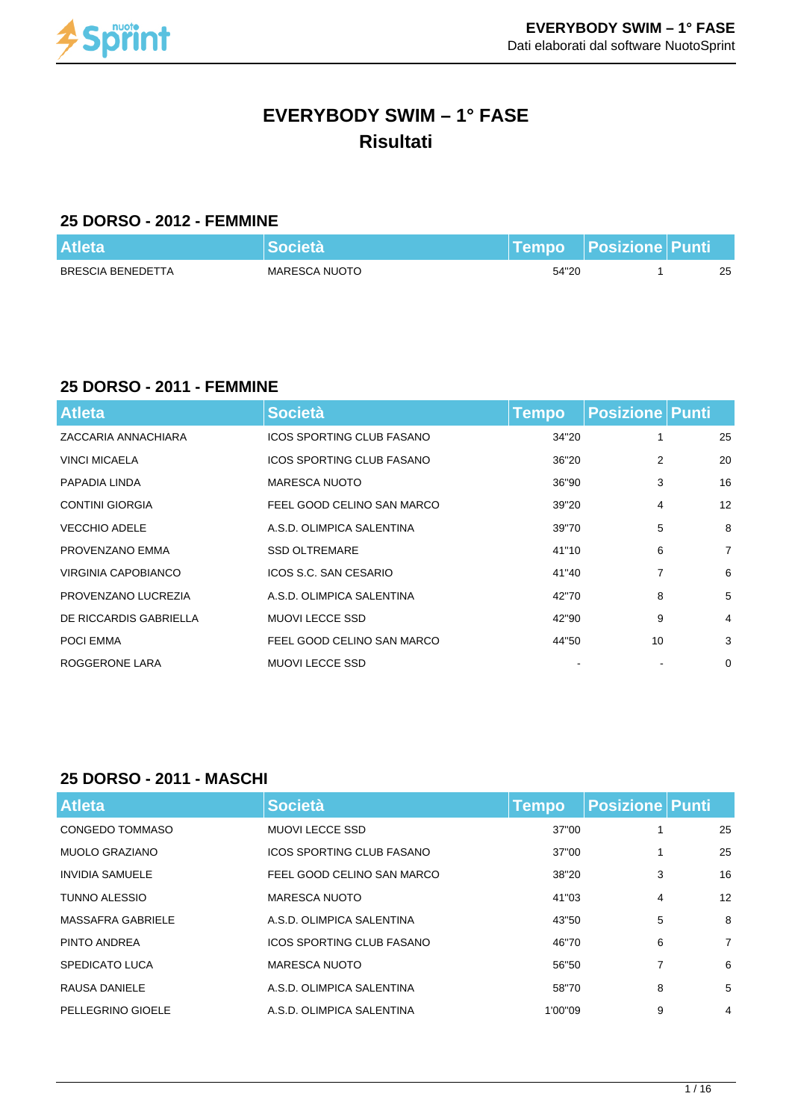

# **EVERYBODY SWIM – 1° FASE Risultati**

#### **25 DORSO - 2012 - FEMMINE**

| <b>Atleta</b>     | Società       |       | Tempo   Posizione    Punti |    |
|-------------------|---------------|-------|----------------------------|----|
| BRESCIA BENEDETTA | MARESCA NUOTO | 54"20 |                            | 25 |

#### **25 DORSO - 2011 - FEMMINE**

| <b>Atleta</b>          | <b>Società</b>             | Tempo | <b>Posizione Punti</b> |                |
|------------------------|----------------------------|-------|------------------------|----------------|
| ZACCARIA ANNACHIARA    | ICOS SPORTING CLUB FASANO  | 34"20 | 1                      | 25             |
| <b>VINCI MICAELA</b>   | ICOS SPORTING CLUB FASANO  | 36"20 | 2                      | 20             |
| PAPADIA LINDA          | <b>MARESCA NUOTO</b>       | 36"90 | 3                      | 16             |
| <b>CONTINI GIORGIA</b> | FEEL GOOD CELINO SAN MARCO | 39"20 | 4                      | 12             |
| <b>VECCHIO ADELE</b>   | A.S.D. OLIMPICA SALENTINA  | 39"70 | 5                      | 8              |
| PROVENZANO EMMA        | <b>SSD OLTREMARE</b>       | 41"10 | 6                      | $\overline{7}$ |
| VIRGINIA CAPOBIANCO    | ICOS S.C. SAN CESARIO      | 41"40 | 7                      | 6              |
| PROVENZANO LUCREZIA    | A.S.D. OLIMPICA SALENTINA  | 42"70 | 8                      | 5              |
| DE RICCARDIS GABRIELLA | <b>MUOVI LECCE SSD</b>     | 42"90 | 9                      | 4              |
| <b>POCI EMMA</b>       | FEEL GOOD CELINO SAN MARCO | 44"50 | 10                     | 3              |
| ROGGERONE LARA         | <b>MUOVI LECCE SSD</b>     |       |                        | 0              |

#### **25 DORSO - 2011 - MASCHI**

| <b>Atleta</b>          | <b>Società</b>                   | <b>Tempo</b> | <b>Posizione Punti</b> |                |
|------------------------|----------------------------------|--------------|------------------------|----------------|
| CONGEDO TOMMASO        | <b>MUOVI LECCE SSD</b>           | 37"00        |                        | 25             |
| <b>MUOLO GRAZIANO</b>  | <b>ICOS SPORTING CLUB FASANO</b> | 37"00        |                        | 25             |
| <b>INVIDIA SAMUELE</b> | FEEL GOOD CELINO SAN MARCO       | 38"20        | 3                      | 16             |
| <b>TUNNO ALESSIO</b>   | MARESCA NUOTO                    | 41"03        | 4                      | 12             |
| MASSAFRA GABRIELE      | A.S.D. OLIMPICA SALENTINA        | 43"50        | 5                      | 8              |
| PINTO ANDREA           | <b>ICOS SPORTING CLUB FASANO</b> | 46"70        | 6                      | $\overline{7}$ |
| SPEDICATO LUCA         | <b>MARESCA NUOTO</b>             | 56"50        | 7                      | 6              |
| RAUSA DANIELE          | A.S.D. OLIMPICA SALENTINA        | 58"70        | 8                      | 5              |
| PELLEGRINO GIOELE      | A.S.D. OLIMPICA SALENTINA        | 1'00"09      | 9                      | 4              |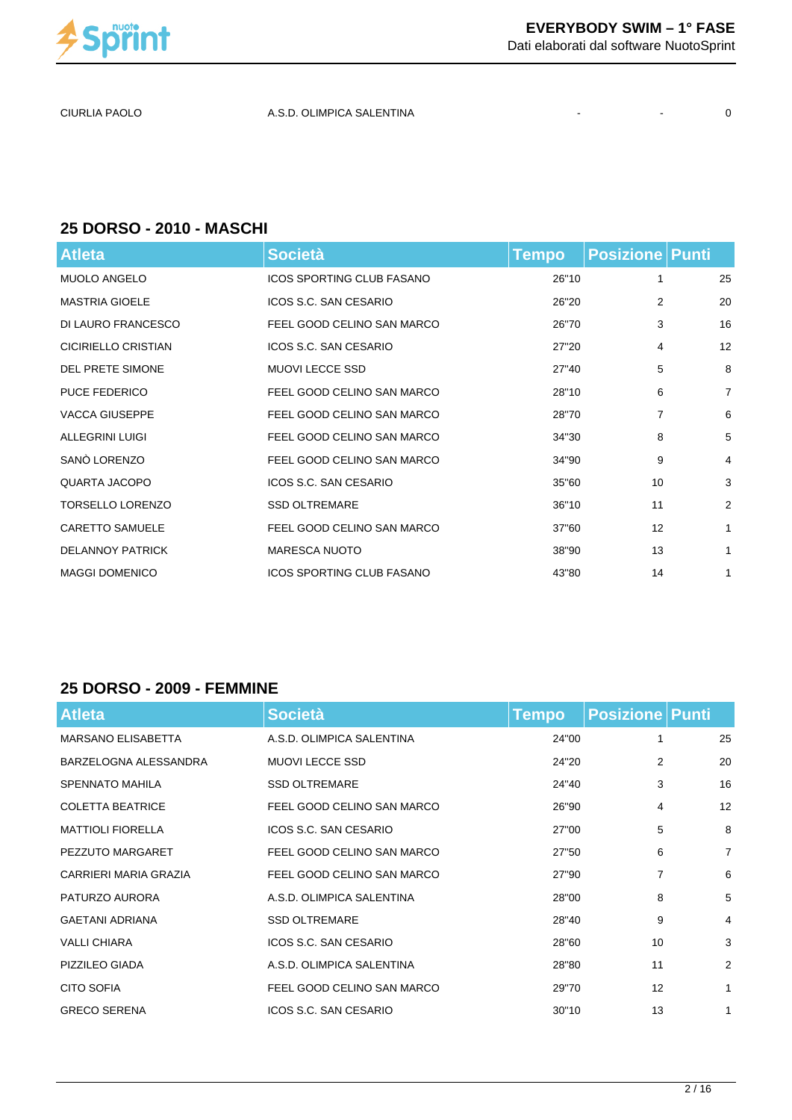

CIURLIA PAOLO A.S.D. OLIMPICA SALENTINA - - 0

#### **25 DORSO - 2010 - MASCHI**

| <b>Atleta</b>           | <b>Società</b>                   | <b>Tempo</b> | <b>Posizione   Punti</b> |                |
|-------------------------|----------------------------------|--------------|--------------------------|----------------|
| <b>MUOLO ANGELO</b>     | <b>ICOS SPORTING CLUB FASANO</b> | 26"10        | 1                        | 25             |
| <b>MASTRIA GIOELE</b>   | ICOS S.C. SAN CESARIO            | 26"20        | $\overline{2}$           | 20             |
| DI LAURO FRANCESCO      | FEEL GOOD CELINO SAN MARCO       | 26"70        | 3                        | 16             |
| CICIRIELLO CRISTIAN     | ICOS S.C. SAN CESARIO            | 27"20        | 4                        | 12             |
| <b>DEL PRETE SIMONE</b> | <b>MUOVI LECCE SSD</b>           | 27"40        | 5                        | 8              |
| <b>PUCE FEDERICO</b>    | FEEL GOOD CELINO SAN MARCO       | 28"10        | 6                        | $\overline{7}$ |
| <b>VACCA GIUSEPPE</b>   | FEEL GOOD CELINO SAN MARCO       | 28"70        | 7                        | 6              |
| <b>ALLEGRINI LUIGI</b>  | FEEL GOOD CELINO SAN MARCO       | 34"30        | 8                        | 5              |
| SANÓ LORENZO            | FEEL GOOD CELINO SAN MARCO       | 34"90        | 9                        | 4              |
| QUARTA JACOPO           | ICOS S.C. SAN CESARIO            | 35"60        | 10                       | 3              |
| <b>TORSELLO LORENZO</b> | <b>SSD OLTREMARE</b>             | 36"10        | 11                       | $\overline{2}$ |
| <b>CARETTO SAMUELE</b>  | FEEL GOOD CELINO SAN MARCO       | 37"60        | 12                       | $\mathbf{1}$   |
| <b>DELANNOY PATRICK</b> | <b>MARESCA NUOTO</b>             | 38"90        | 13                       | $\mathbf{1}$   |
| <b>MAGGI DOMENICO</b>   | <b>ICOS SPORTING CLUB FASANO</b> | 43"80        | 14                       | 1              |

#### **25 DORSO - 2009 - FEMMINE**

| <b>Atleta</b>             | <b>Società</b>             | <b>Tempo</b> | <b>Posizione Punti</b> |                |
|---------------------------|----------------------------|--------------|------------------------|----------------|
| <b>MARSANO ELISABETTA</b> | A.S.D. OLIMPICA SALENTINA  | 24"00        | 1                      | 25             |
| BARZELOGNA ALESSANDRA     | <b>MUOVI LECCE SSD</b>     | 24"20        | 2                      | 20             |
| <b>SPENNATO MAHILA</b>    | <b>SSD OLTREMARE</b>       | 24"40        | 3                      | 16             |
| <b>COLETTA BEATRICE</b>   | FEEL GOOD CELINO SAN MARCO | 26"90        | 4                      | 12             |
| <b>MATTIOLI FIORELLA</b>  | ICOS S.C. SAN CESARIO      | 27"00        | 5                      | 8              |
| PEZZUTO MARGARET          | FEEL GOOD CELINO SAN MARCO | 27"50        | 6                      | $\overline{7}$ |
| CARRIERI MARIA GRAZIA     | FEEL GOOD CELINO SAN MARCO | 27"90        | 7                      | 6              |
| PATURZO AURORA            | A.S.D. OLIMPICA SALENTINA  | 28"00        | 8                      | 5              |
| <b>GAETANI ADRIANA</b>    | <b>SSD OLTREMARE</b>       | 28"40        | 9                      | 4              |
| <b>VALLI CHIARA</b>       | ICOS S.C. SAN CESARIO      | 28"60        | 10                     | 3              |
| PIZZILEO GIADA            | A.S.D. OLIMPICA SALENTINA  | 28"80        | 11                     | 2              |
| <b>CITO SOFIA</b>         | FEEL GOOD CELINO SAN MARCO | 29"70        | 12                     | $\mathbf{1}$   |
| <b>GRECO SERENA</b>       | ICOS S.C. SAN CESARIO      | 30"10        | 13                     | $\mathbf{1}$   |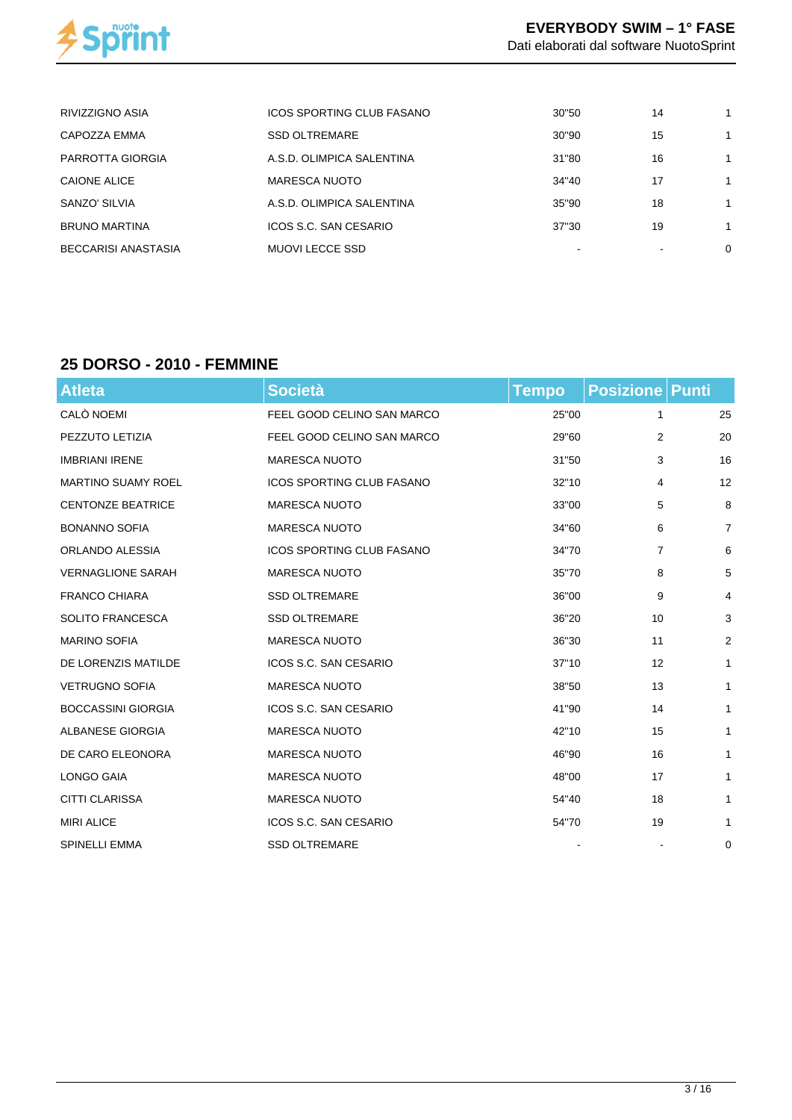

| RIVIZZIGNO ASIA      | ICOS SPORTING CLUB FASANO | 30"50 | 14 |  |
|----------------------|---------------------------|-------|----|--|
| CAPOZZA EMMA         | <b>SSD OLTREMARE</b>      | 30"90 | 15 |  |
| PARROTTA GIORGIA     | A.S.D. OLIMPICA SALENTINA | 31"80 | 16 |  |
| CAIONE ALICE         | <b>MARESCA NUOTO</b>      | 34"40 | 17 |  |
| SANZO' SILVIA        | A.S.D. OLIMPICA SALENTINA | 35"90 | 18 |  |
| <b>BRUNO MARTINA</b> | ICOS S.C. SAN CESARIO     | 37"30 | 19 |  |
| BECCARISI ANASTASIA  | MUOVI LECCE SSD           |       |    |  |

# **25 DORSO - 2010 - FEMMINE**

| <b>Atleta</b>             | <b>Società</b>                   | <b>Tempo</b> | <b>Posizione Punti</b> |                |
|---------------------------|----------------------------------|--------------|------------------------|----------------|
| CALÒ NOEMI                | FEEL GOOD CELINO SAN MARCO       | 25"00        | 1                      | 25             |
| PEZZUTO LETIZIA           | FEEL GOOD CELINO SAN MARCO       | 29"60        | 2                      | 20             |
| <b>IMBRIANI IRENE</b>     | <b>MARESCA NUOTO</b>             | 31"50        | 3                      | 16             |
| <b>MARTINO SUAMY ROEL</b> | <b>ICOS SPORTING CLUB FASANO</b> | 32"10        | 4                      | 12             |
| <b>CENTONZE BEATRICE</b>  | <b>MARESCA NUOTO</b>             | 33"00        | 5                      | 8              |
| <b>BONANNO SOFIA</b>      | <b>MARESCA NUOTO</b>             | 34"60        | 6                      | $\overline{7}$ |
| ORLANDO ALESSIA           | <b>ICOS SPORTING CLUB FASANO</b> | 34"70        | 7                      | 6              |
| <b>VERNAGLIONE SARAH</b>  | MARESCA NUOTO                    | 35"70        | 8                      | 5              |
| <b>FRANCO CHIARA</b>      | <b>SSD OLTREMARE</b>             | 36"00        | 9                      | 4              |
| <b>SOLITO FRANCESCA</b>   | <b>SSD OLTREMARE</b>             | 36"20        | 10                     | 3              |
| <b>MARINO SOFIA</b>       | <b>MARESCA NUOTO</b>             | 36"30        | 11                     | 2              |
| DE LORENZIS MATILDE       | ICOS S.C. SAN CESARIO            | 37"10        | 12                     | 1              |
| <b>VETRUGNO SOFIA</b>     | <b>MARESCA NUOTO</b>             | 38"50        | 13                     | $\mathbf{1}$   |
| <b>BOCCASSINI GIORGIA</b> | ICOS S.C. SAN CESARIO            | 41"90        | 14                     | 1              |
| ALBANESE GIORGIA          | <b>MARESCA NUOTO</b>             | 42"10        | 15                     | $\mathbf{1}$   |
| DE CARO ELEONORA          | <b>MARESCA NUOTO</b>             | 46"90        | 16                     | 1              |
| LONGO GAIA                | <b>MARESCA NUOTO</b>             | 48"00        | 17                     | 1              |
| <b>CITTI CLARISSA</b>     | <b>MARESCA NUOTO</b>             | 54"40        | 18                     | 1              |
| <b>MIRI ALICE</b>         | ICOS S.C. SAN CESARIO            | 54"70        | 19                     | 1              |
| <b>SPINELLI EMMA</b>      | <b>SSD OLTREMARE</b>             |              |                        | 0              |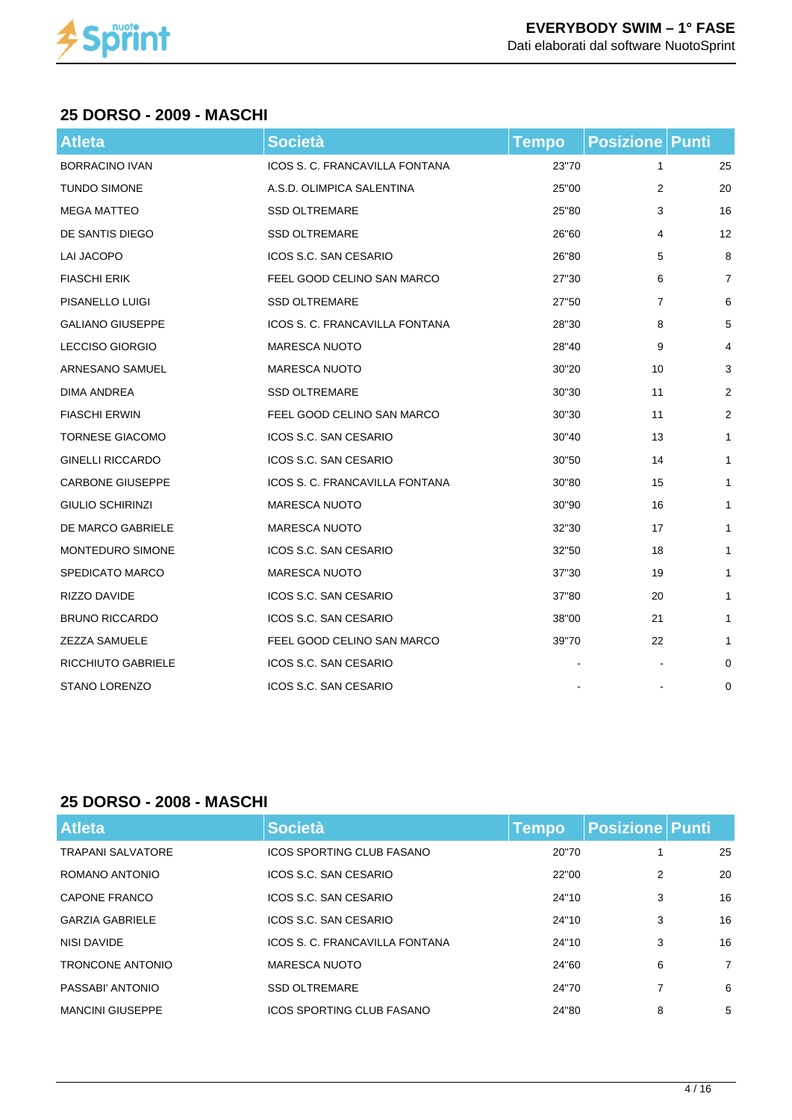

### **25 DORSO - 2009 - MASCHI**

| <b>Atleta</b>           | <b>Società</b>                 | <b>Tempo</b> | <b>Posizione Punti</b> |                |
|-------------------------|--------------------------------|--------------|------------------------|----------------|
| <b>BORRACINO IVAN</b>   | ICOS S. C. FRANCAVILLA FONTANA | 23"70        | 1                      | 25             |
| <b>TUNDO SIMONE</b>     | A.S.D. OLIMPICA SALENTINA      | 25"00        | 2                      | 20             |
| <b>MEGA MATTEO</b>      | <b>SSD OLTREMARE</b>           | 25"80        | 3                      | 16             |
| DE SANTIS DIEGO         | <b>SSD OLTREMARE</b>           | 26"60        | 4                      | 12             |
| <b>LAI JACOPO</b>       | ICOS S.C. SAN CESARIO          | 26"80        | 5                      | 8              |
| <b>FIASCHI ERIK</b>     | FEEL GOOD CELINO SAN MARCO     | 27"30        | 6                      | $\overline{7}$ |
| PISANELLO LUIGI         | <b>SSD OLTREMARE</b>           | 27"50        | 7                      | 6              |
| <b>GALIANO GIUSEPPE</b> | ICOS S. C. FRANCAVILLA FONTANA | 28"30        | 8                      | 5              |
| <b>LECCISO GIORGIO</b>  | <b>MARESCA NUOTO</b>           | 28"40        | 9                      | 4              |
| <b>ARNESANO SAMUEL</b>  | <b>MARESCA NUOTO</b>           | 30"20        | 10                     | 3              |
| <b>DIMA ANDREA</b>      | <b>SSD OLTREMARE</b>           | 30"30        | 11                     | 2              |
| <b>FIASCHI ERWIN</b>    | FEEL GOOD CELINO SAN MARCO     | 30"30        | 11                     | 2              |
| <b>TORNESE GIACOMO</b>  | ICOS S.C. SAN CESARIO          | 30"40        | 13                     | $\mathbf{1}$   |
| <b>GINELLI RICCARDO</b> | ICOS S.C. SAN CESARIO          | 30"50        | 14                     | $\mathbf{1}$   |
| <b>CARBONE GIUSEPPE</b> | ICOS S. C. FRANCAVILLA FONTANA | 30"80        | 15                     | $\mathbf{1}$   |
| <b>GIULIO SCHIRINZI</b> | MARESCA NUOTO                  | 30"90        | 16                     | $\mathbf{1}$   |
| DE MARCO GABRIELE       | <b>MARESCA NUOTO</b>           | 32"30        | 17                     | $\mathbf{1}$   |
| <b>MONTEDURO SIMONE</b> | ICOS S.C. SAN CESARIO          | 32"50        | 18                     | $\mathbf{1}$   |
| <b>SPEDICATO MARCO</b>  | <b>MARESCA NUOTO</b>           | 37"30        | 19                     | $\mathbf{1}$   |
| RIZZO DAVIDE            | ICOS S.C. SAN CESARIO          | 37"80        | 20                     | $\mathbf{1}$   |
| <b>BRUNO RICCARDO</b>   | ICOS S.C. SAN CESARIO          | 38"00        | 21                     | $\mathbf{1}$   |
| <b>ZEZZA SAMUELE</b>    | FEEL GOOD CELINO SAN MARCO     | 39"70        | 22                     | $\mathbf{1}$   |
| RICCHIUTO GABRIELE      | ICOS S.C. SAN CESARIO          |              |                        | 0              |
| <b>STANO LORENZO</b>    | ICOS S.C. SAN CESARIO          |              |                        | 0              |

#### **25 DORSO - 2008 - MASCHI**

| <b>Atleta</b>            | <b>Società</b>                   | Tempo | <b>Posizione Punti</b> |                |
|--------------------------|----------------------------------|-------|------------------------|----------------|
| <b>TRAPANI SALVATORE</b> | ICOS SPORTING CLUB FASANO        | 20"70 |                        | 25             |
| ROMANO ANTONIO           | ICOS S.C. SAN CESARIO            | 22"00 | 2                      | 20             |
| CAPONE FRANCO            | ICOS S.C. SAN CESARIO            | 24"10 | 3                      | 16             |
| <b>GARZIA GABRIELE</b>   | ICOS S.C. SAN CESARIO            | 24"10 | 3                      | 16             |
| NISI DAVIDE              | ICOS S. C. FRANCAVILLA FONTANA   | 24"10 | 3                      | 16             |
| <b>TRONCONE ANTONIO</b>  | <b>MARESCA NUOTO</b>             | 24"60 | 6                      | $\overline{7}$ |
| PASSABI' ANTONIO         | <b>SSD OLTREMARE</b>             | 24"70 | 7                      | 6              |
| <b>MANCINI GIUSEPPE</b>  | <b>ICOS SPORTING CLUB FASANO</b> | 24"80 | 8                      | 5              |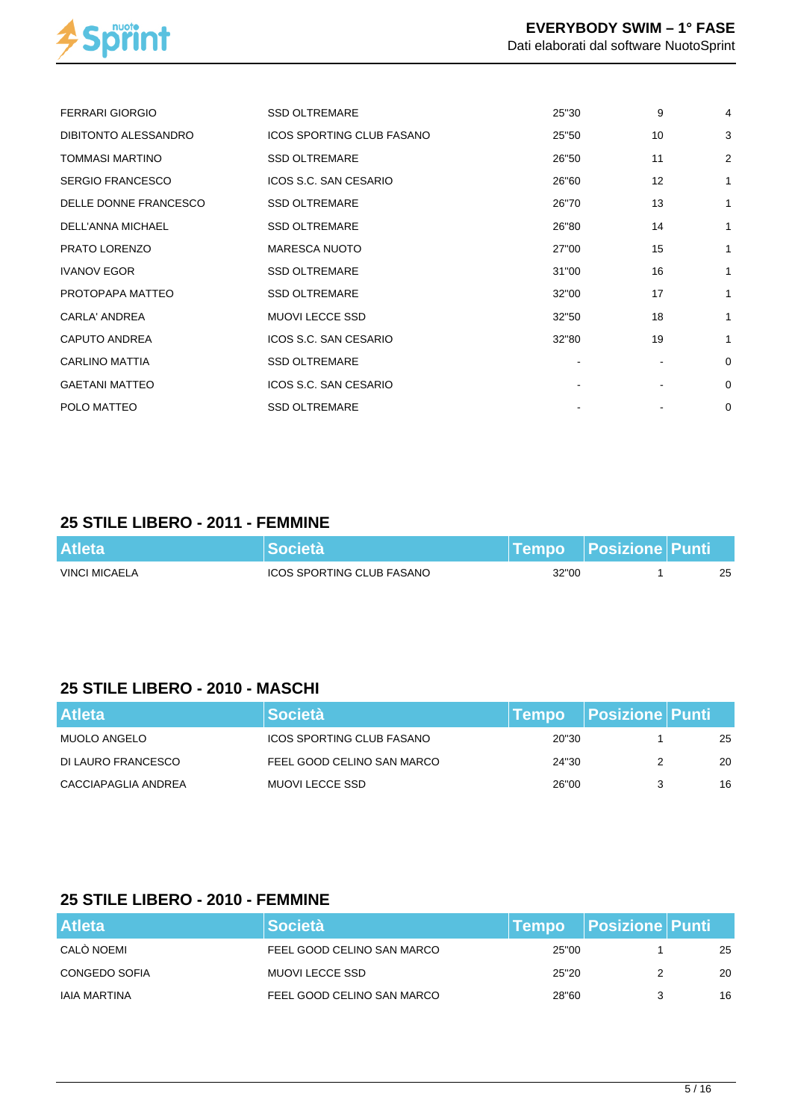

| <b>FERRARI GIORGIO</b>  | <b>SSD OLTREMARE</b>             | 25"30 | 9  | $\overline{4}$ |
|-------------------------|----------------------------------|-------|----|----------------|
| DIBITONTO ALESSANDRO    | <b>ICOS SPORTING CLUB FASANO</b> | 25"50 | 10 | 3              |
| <b>TOMMASI MARTINO</b>  | <b>SSD OLTREMARE</b>             | 26"50 | 11 | $\overline{2}$ |
| <b>SERGIO FRANCESCO</b> | ICOS S.C. SAN CESARIO            | 26"60 | 12 | $\mathbf{1}$   |
| DELLE DONNE FRANCESCO   | <b>SSD OLTREMARE</b>             | 26"70 | 13 | 1              |
| DELL'ANNA MICHAEL       | <b>SSD OLTREMARE</b>             | 26"80 | 14 | 1              |
| PRATO LORENZO           | <b>MARESCA NUOTO</b>             | 27"00 | 15 | 1              |
| <b>IVANOV EGOR</b>      | <b>SSD OLTREMARE</b>             | 31"00 | 16 | 1              |
| PROTOPAPA MATTEO        | <b>SSD OLTREMARE</b>             | 32"00 | 17 | 1              |
| CARLA' ANDREA           | <b>MUOVI LECCE SSD</b>           | 32"50 | 18 | 1              |
| <b>CAPUTO ANDREA</b>    | ICOS S.C. SAN CESARIO            | 32"80 | 19 | 1              |
| <b>CARLINO MATTIA</b>   | <b>SSD OLTREMARE</b>             |       |    | $\mathbf 0$    |
| <b>GAETANI MATTEO</b>   | ICOS S.C. SAN CESARIO            |       |    | $\mathbf 0$    |
| POLO MATTEO             | <b>SSD OLTREMARE</b>             |       |    | $\mathbf 0$    |

#### **25 STILE LIBERO - 2011 - FEMMINE**

| <b>Atleta</b> | <b>Società</b>                   |       | Tempo Posizione Punti |    |
|---------------|----------------------------------|-------|-----------------------|----|
| VINCI MICAELA | <b>ICOS SPORTING CLUB FASANO</b> | 32"00 |                       | 25 |

# **25 STILE LIBERO - 2010 - MASCHI**

| <b>Atleta</b>       | <b>Società</b>                   |       | Tempo Posizione Punti |    |
|---------------------|----------------------------------|-------|-----------------------|----|
| MUOLO ANGELO        | <b>ICOS SPORTING CLUB FASANO</b> | 20"30 |                       | 25 |
| DI LAURO FRANCESCO  | FEEL GOOD CELINO SAN MARCO       | 24"30 |                       | 20 |
| CACCIAPAGLIA ANDREA | MUOVI LECCE SSD                  | 26"00 |                       | 16 |

# **25 STILE LIBERO - 2010 - FEMMINE**

| <b>Atleta</b> | <b>Società</b>             | <b>Tempo</b> | <b>Posizione Punti</b> |    |
|---------------|----------------------------|--------------|------------------------|----|
| CALÒ NOEMI    | FEEL GOOD CELINO SAN MARCO | 25"00        |                        | 25 |
| CONGEDO SOFIA | <b>MUOVI LECCE SSD</b>     | 25"20        |                        | 20 |
| IAIA MARTINA  | FEEL GOOD CELINO SAN MARCO | 28"60        |                        | 16 |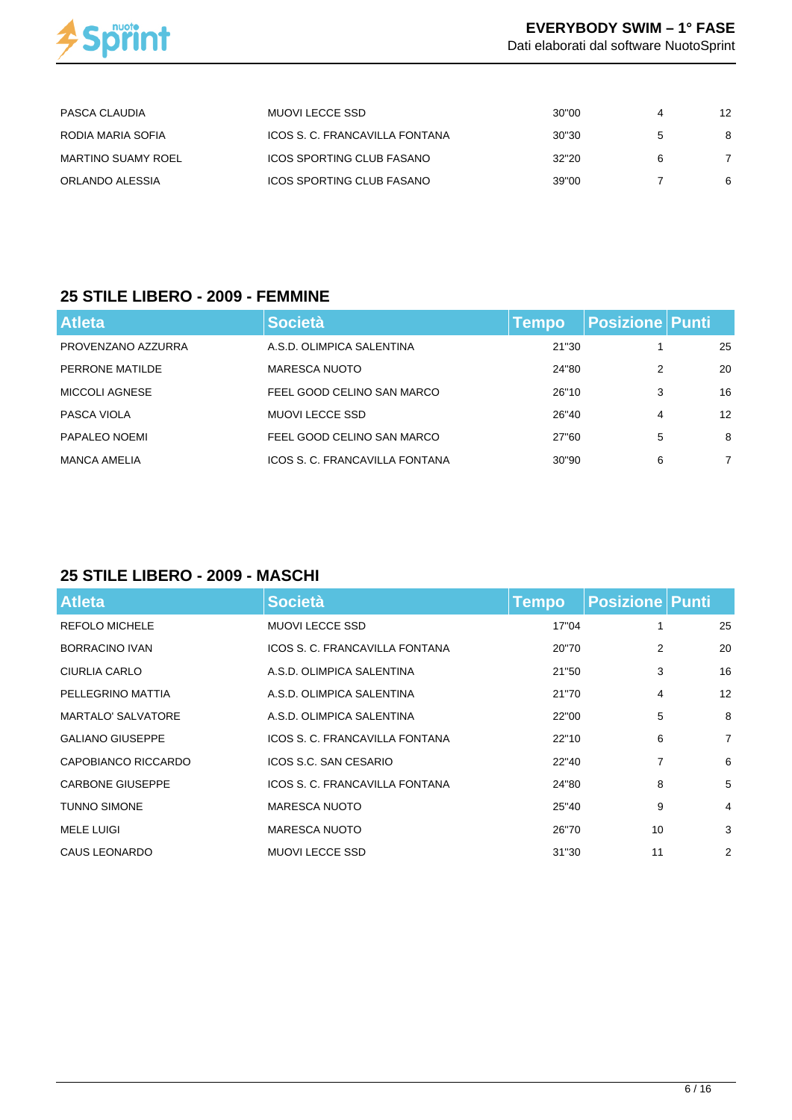

| PASCA CLAUDIA             | MUOVI LECCE SSD                | 30"00 | 12 |
|---------------------------|--------------------------------|-------|----|
| RODIA MARIA SOFIA         | ICOS S. C. FRANCAVILLA FONTANA | 30"30 |    |
| <b>MARTINO SUAMY ROEL</b> | ICOS SPORTING CLUB FASANO      | 32"20 |    |
| ORLANDO ALESSIA           | ICOS SPORTING CLUB FASANO      | 39"00 | 6  |

#### **25 STILE LIBERO - 2009 - FEMMINE**

| <b>Atleta</b>       | <b>Società</b>                 | Tempo | Posizione Punti |                   |
|---------------------|--------------------------------|-------|-----------------|-------------------|
| PROVENZANO AZZURRA  | A.S.D. OLIMPICA SALENTINA      | 21"30 |                 | 25                |
| PERRONE MATILDE     | MARESCA NUOTO                  | 24"80 | 2               | 20                |
| MICCOLI AGNESE      | FEEL GOOD CELINO SAN MARCO     | 26"10 | 3               | 16                |
| PASCA VIOLA         | MUOVI LECCE SSD                | 26"40 | 4               | $12 \overline{ }$ |
| PAPALEO NOEMI       | FEEL GOOD CELINO SAN MARCO     | 27"60 | 5               | 8                 |
| <b>MANCA AMELIA</b> | ICOS S. C. FRANCAVILLA FONTANA | 30"90 | 6               | 7                 |

## **25 STILE LIBERO - 2009 - MASCHI**

| <b>Atleta</b>             | <b>Società</b>                 | <b>Tempo</b> | <b>Posizione Punti</b> |                |
|---------------------------|--------------------------------|--------------|------------------------|----------------|
| <b>REFOLO MICHELE</b>     | <b>MUOVI LECCE SSD</b>         | 17"04        |                        | 25             |
| BORRACINO IVAN            | ICOS S. C. FRANCAVILLA FONTANA | 20"70        | 2                      | 20             |
| CIURLIA CARLO             | A.S.D. OLIMPICA SALENTINA      | 21"50        | 3                      | 16             |
| PELLEGRINO MATTIA         | A.S.D. OLIMPICA SALENTINA      | 21"70        | 4                      | 12             |
| <b>MARTALO' SALVATORE</b> | A.S.D. OLIMPICA SALENTINA      | 22"00        | 5                      | 8              |
| <b>GALIANO GIUSEPPE</b>   | ICOS S. C. FRANCAVILLA FONTANA | 22"10        | 6                      | $\overline{7}$ |
| CAPOBIANCO RICCARDO       | ICOS S.C. SAN CESARIO          | 22"40        | 7                      | 6              |
| <b>CARBONE GIUSEPPE</b>   | ICOS S. C. FRANCAVILLA FONTANA | 24"80        | 8                      | 5              |
| <b>TUNNO SIMONE</b>       | <b>MARESCA NUOTO</b>           | 25"40        | 9                      | 4              |
| <b>MELE LUIGI</b>         | <b>MARESCA NUOTO</b>           | 26"70        | 10                     | 3              |
| <b>CAUS LEONARDO</b>      | <b>MUOVI LECCE SSD</b>         | 31"30        | 11                     | 2              |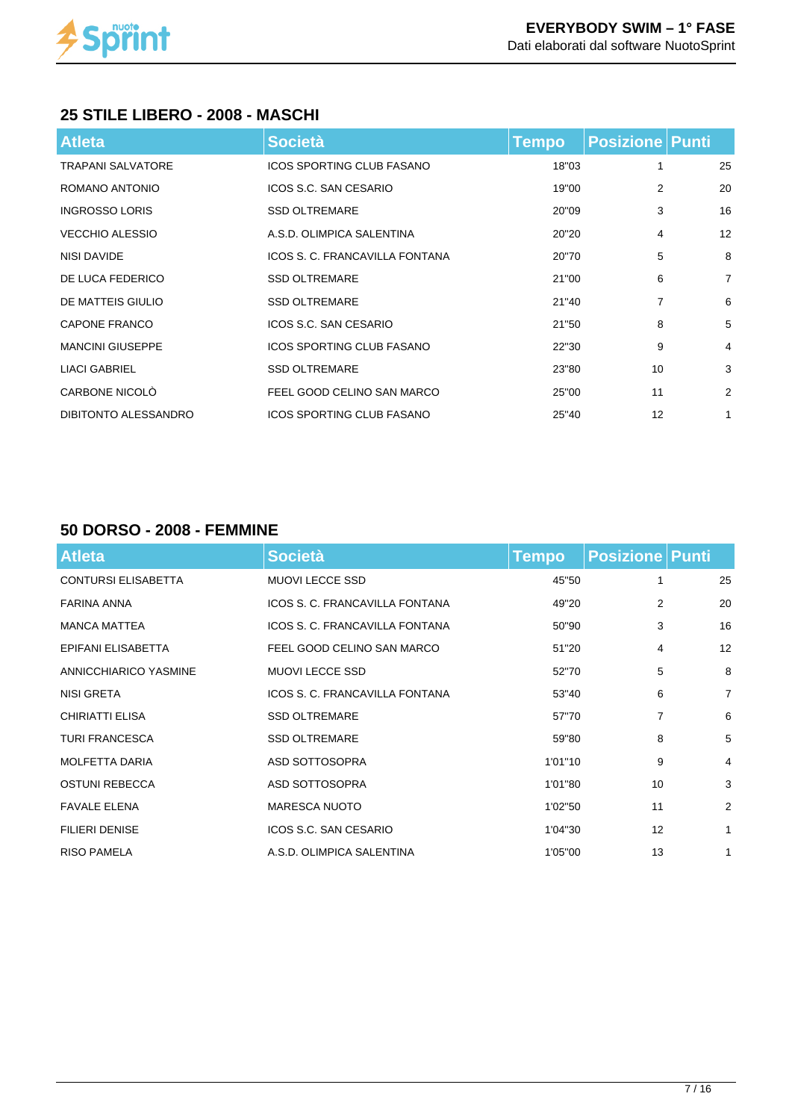

## **25 STILE LIBERO - 2008 - MASCHI**

| <b>Atleta</b>            | <b>Società</b>                   | <b>Tempo</b> | <b>Posizione   Punti</b> |                |
|--------------------------|----------------------------------|--------------|--------------------------|----------------|
| <b>TRAPANI SALVATORE</b> | <b>ICOS SPORTING CLUB FASANO</b> | 18"03        |                          | 25             |
| ROMANO ANTONIO           | ICOS S.C. SAN CESARIO            | 19"00        | 2                        | 20             |
| <b>INGROSSO LORIS</b>    | <b>SSD OLTREMARE</b>             | 20"09        | 3                        | 16             |
| <b>VECCHIO ALESSIO</b>   | A.S.D. OLIMPICA SALENTINA        | 20"20        | 4                        | 12             |
| NISI DAVIDE              | ICOS S. C. FRANCAVILLA FONTANA   | 20"70        | 5                        | 8              |
| DE LUCA FEDERICO         | <b>SSD OLTREMARE</b>             | 21"00        | 6                        | $\overline{7}$ |
| DE MATTEIS GIULIO        | <b>SSD OLTREMARE</b>             | 21"40        | 7                        | 6              |
| <b>CAPONE FRANCO</b>     | ICOS S.C. SAN CESARIO            | 21"50        | 8                        | 5              |
| <b>MANCINI GIUSEPPE</b>  | <b>ICOS SPORTING CLUB FASANO</b> | 22"30        | 9                        | 4              |
| <b>LIACI GABRIEL</b>     | <b>SSD OLTREMARE</b>             | 23"80        | 10                       | 3              |
| CARBONE NICOLO           | FEEL GOOD CELINO SAN MARCO       | 25"00        | 11                       | 2              |
| DIBITONTO ALESSANDRO     | <b>ICOS SPORTING CLUB FASANO</b> | 25"40        | 12                       | 1              |

## **50 DORSO - 2008 - FEMMINE**

| <b>Atleta</b>              | <b>Società</b>                 | <b>Tempo</b> | <b>Posizione Punti</b> |                |
|----------------------------|--------------------------------|--------------|------------------------|----------------|
| <b>CONTURSI ELISABETTA</b> | <b>MUOVI LECCE SSD</b>         | 45"50        | 1                      | 25             |
| FARINA ANNA                | ICOS S. C. FRANCAVILLA FONTANA | 49"20        | 2                      | 20             |
| <b>MANCA MATTEA</b>        | ICOS S. C. FRANCAVILLA FONTANA | 50"90        | 3                      | 16             |
| EPIFANI ELISABETTA         | FEEL GOOD CELINO SAN MARCO     | 51"20        | $\overline{4}$         | 12             |
| ANNICCHIARICO YASMINE      | <b>MUOVI LECCE SSD</b>         | 52"70        | 5                      | 8              |
| NISI GRETA                 | ICOS S. C. FRANCAVILLA FONTANA | 53"40        | 6                      | $\overline{7}$ |
| <b>CHIRIATTI ELISA</b>     | <b>SSD OLTREMARE</b>           | 57"70        | $\overline{7}$         | 6              |
| <b>TURI FRANCESCA</b>      | <b>SSD OLTREMARE</b>           | 59"80        | 8                      | 5              |
| <b>MOLFETTA DARIA</b>      | ASD SOTTOSOPRA                 | 1'01"10      | 9                      | 4              |
| <b>OSTUNI REBECCA</b>      | ASD SOTTOSOPRA                 | 1'01"80      | 10                     | 3              |
| <b>FAVALE ELENA</b>        | <b>MARESCA NUOTO</b>           | 1'02"50      | 11                     | 2              |
| <b>FILIERI DENISE</b>      | ICOS S.C. SAN CESARIO          | 1'04"30      | 12                     | $\mathbf{1}$   |
| <b>RISO PAMELA</b>         | A.S.D. OLIMPICA SALENTINA      | 1'05"00      | 13                     | 1              |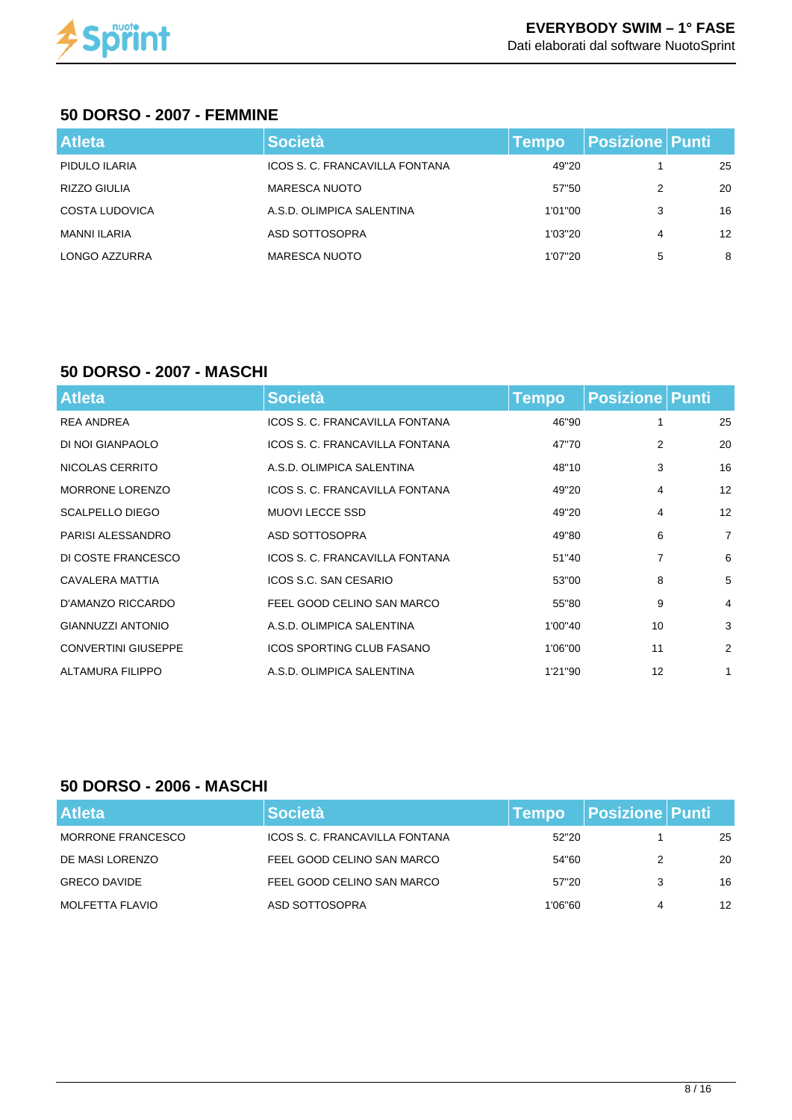

#### **50 DORSO - 2007 - FEMMINE**

| <b>Atleta</b>       | <b>Società</b>                 | <b>Tempo</b> | <b>Posizione Punti</b> |    |
|---------------------|--------------------------------|--------------|------------------------|----|
| PIDULO ILARIA       | ICOS S. C. FRANCAVILLA FONTANA | 49"20        |                        | 25 |
| RIZZO GIULIA        | <b>MARESCA NUOTO</b>           | 57"50        | 2                      | 20 |
| COSTA LUDOVICA      | A.S.D. OLIMPICA SALENTINA      | 1'01"00      | 3                      | 16 |
| <b>MANNI ILARIA</b> | ASD SOTTOSOPRA                 | 1'03"20      | 4                      | 12 |
| LONGO AZZURRA       | <b>MARESCA NUOTO</b>           | 1'07"20      | 5                      | 8  |

#### **50 DORSO - 2007 - MASCHI**

| <b>Atleta</b>              | <b>Società</b>                 | Tempo   | <b>Posizione Punti</b> |                |
|----------------------------|--------------------------------|---------|------------------------|----------------|
| <b>REA ANDREA</b>          | ICOS S. C. FRANCAVILLA FONTANA | 46"90   | 1                      | 25             |
| DI NOI GIANPAOLO           | ICOS S. C. FRANCAVILLA FONTANA | 47"70   | 2                      | 20             |
| NICOLAS CERRITO            | A.S.D. OLIMPICA SALENTINA      | 48"10   | 3                      | 16             |
| <b>MORRONE LORENZO</b>     | ICOS S. C. FRANCAVILLA FONTANA | 49"20   | 4                      | 12             |
| <b>SCALPELLO DIEGO</b>     | <b>MUOVI LECCE SSD</b>         | 49"20   | $\overline{4}$         | 12             |
| PARISI ALESSANDRO          | ASD SOTTOSOPRA                 | 49"80   | 6                      | $\overline{7}$ |
| DI COSTE FRANCESCO         | ICOS S. C. FRANCAVILLA FONTANA | 51"40   | 7                      | 6              |
| CAVALERA MATTIA            | ICOS S.C. SAN CESARIO          | 53"00   | 8                      | 5              |
| D'AMANZO RICCARDO          | FEEL GOOD CELINO SAN MARCO     | 55"80   | 9                      | 4              |
| <b>GIANNUZZI ANTONIO</b>   | A.S.D. OLIMPICA SALENTINA      | 1'00"40 | 10                     | 3              |
| <b>CONVERTINI GIUSEPPE</b> | ICOS SPORTING CLUB FASANO      | 1'06"00 | 11                     | $\overline{2}$ |
| ALTAMURA FILIPPO           | A.S.D. OLIMPICA SALENTINA      | 1'21"90 | 12                     | $\mathbf{1}$   |

#### **50 DORSO - 2006 - MASCHI**

| <b>Atleta</b>            | <b>Società</b>                 | <b>Tempo</b> | <b>Posizione Punti</b> |    |
|--------------------------|--------------------------------|--------------|------------------------|----|
| <b>MORRONE FRANCESCO</b> | ICOS S. C. FRANCAVILLA FONTANA | 52"20        |                        | 25 |
| DE MASI LORENZO          | FEEL GOOD CELINO SAN MARCO     | 54"60        |                        | 20 |
| <b>GRECO DAVIDE</b>      | FEEL GOOD CELINO SAN MARCO     | 57"20        |                        | 16 |
| MOLFETTA FLAVIO          | ASD SOTTOSOPRA                 | 1'06"60      | 4                      | 12 |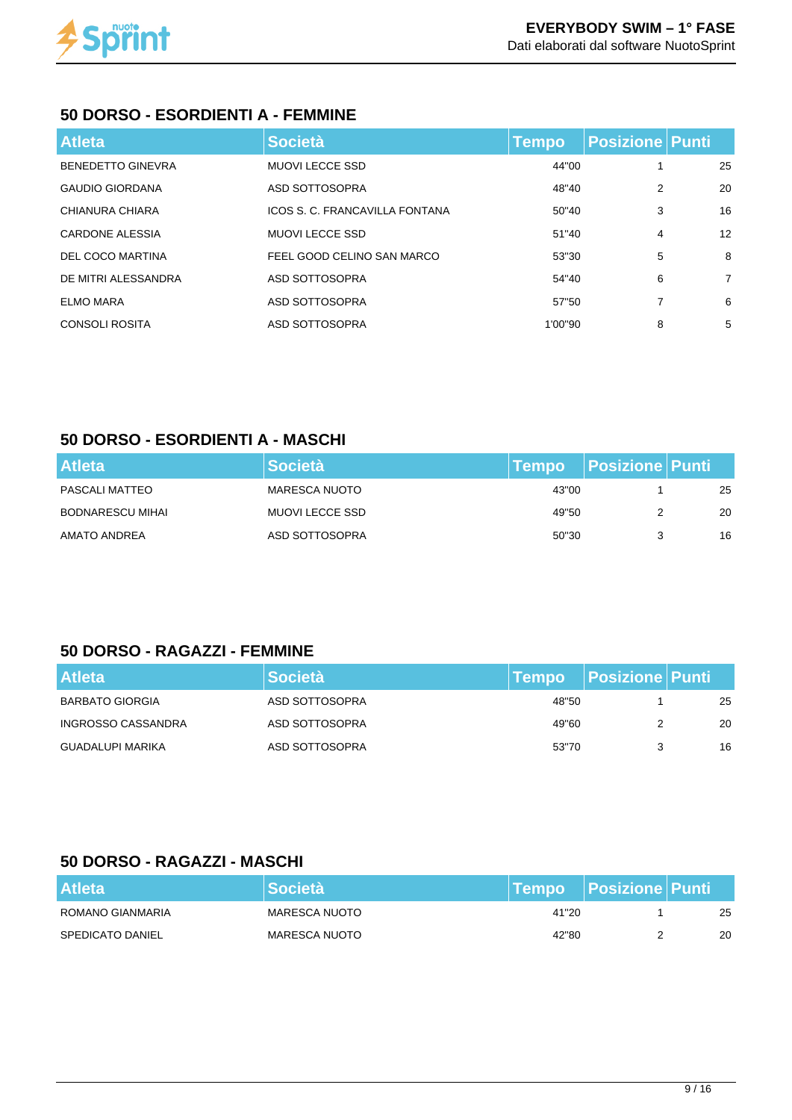

### **50 DORSO - ESORDIENTI A - FEMMINE**

| <b>Atleta</b>            | <b>Società</b>                 | <b>Tempo</b> | <b>Posizione Punti</b> |                |
|--------------------------|--------------------------------|--------------|------------------------|----------------|
| <b>BENEDETTO GINEVRA</b> | <b>MUOVI LECCE SSD</b>         | 44"00        |                        | 25             |
| <b>GAUDIO GIORDANA</b>   | ASD SOTTOSOPRA                 | 48"40        | 2                      | 20             |
| CHIANURA CHIARA          | ICOS S. C. FRANCAVILLA FONTANA | 50"40        | 3                      | 16             |
| <b>CARDONE ALESSIA</b>   | <b>MUOVI LECCE SSD</b>         | 51"40        | 4                      | 12             |
| DEL COCO MARTINA         | FEEL GOOD CELINO SAN MARCO     | 53"30        | 5                      | 8              |
| DE MITRI ALESSANDRA      | ASD SOTTOSOPRA                 | 54"40        | 6                      | $\overline{7}$ |
| <b>ELMO MARA</b>         | ASD SOTTOSOPRA                 | 57"50        | 7                      | 6              |
| <b>CONSOLI ROSITA</b>    | ASD SOTTOSOPRA                 | 1'00"90      | 8                      | 5              |

### **50 DORSO - ESORDIENTI A - MASCHI**

| <b>Atleta</b>           | <b>Società</b>       | ∣Tempo i | <b>Posizione Punti</b> |    |
|-------------------------|----------------------|----------|------------------------|----|
| PASCALI MATTEO          | <b>MARESCA NUOTO</b> | 43"00    |                        | 25 |
| <b>BODNARESCU MIHAI</b> | MUOVI LECCE SSD      | 49"50    |                        | 20 |
| AMATO ANDREA            | ASD SOTTOSOPRA       | 50"30    |                        | 16 |

#### **50 DORSO - RAGAZZI - FEMMINE**

| <b>Atleta</b>           | <b>Società</b> | <b>⊺Tempo</b> | <b>Posizione Punti</b> |    |
|-------------------------|----------------|---------------|------------------------|----|
| BARBATO GIORGIA         | ASD SOTTOSOPRA | 48"50         |                        | 25 |
| INGROSSO CASSANDRA      | ASD SOTTOSOPRA | 49"60         |                        | 20 |
| <b>GUADALUPI MARIKA</b> | ASD SOTTOSOPRA | 53"70         |                        | 16 |

## **50 DORSO - RAGAZZI - MASCHI**

| <b>Atleta</b>           | <b>l</b> Società I |       | <b>Tempo Posizione Punti</b> |    |
|-------------------------|--------------------|-------|------------------------------|----|
| ROMANO GIANMARIA        | MARESCA NUOTO      | 41"20 |                              | 25 |
| <b>SPEDICATO DANIEL</b> | MARESCA NUOTO      | 42"80 |                              | 20 |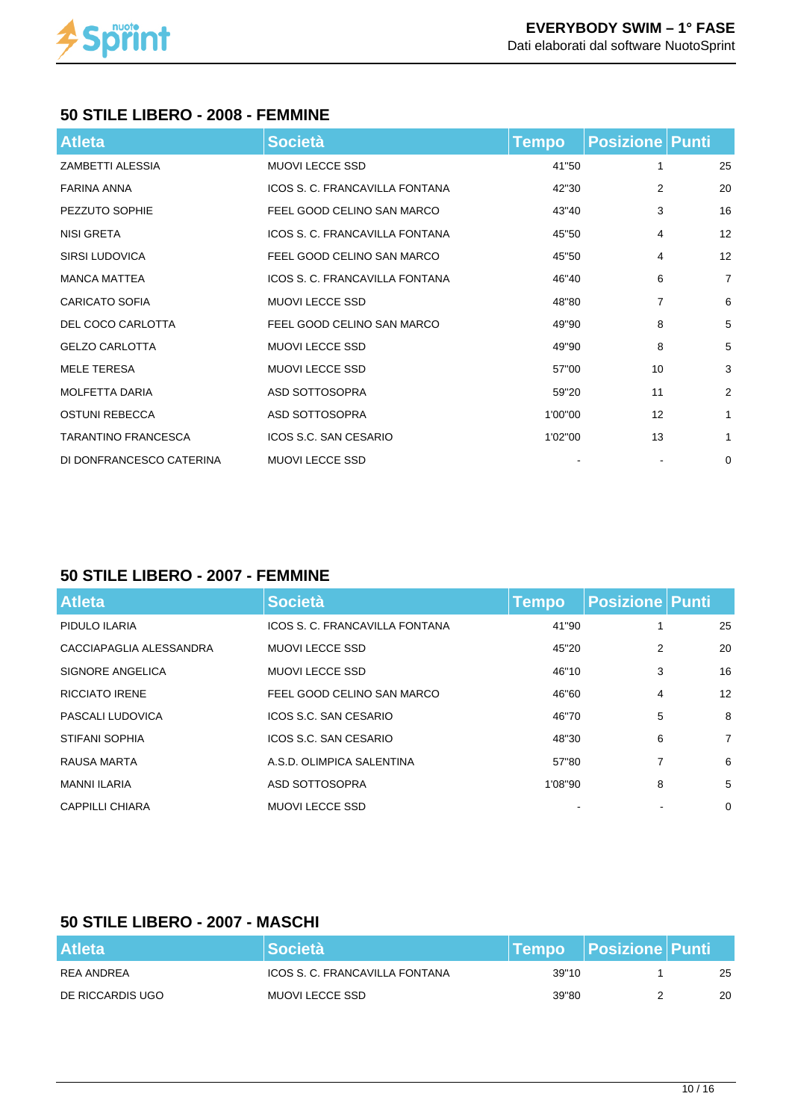

#### **50 STILE LIBERO - 2008 - FEMMINE**

| <b>Atleta</b>              | <b>Società</b>                 | <b>Tempo</b> | <b>Posizione   Punti</b> |                |
|----------------------------|--------------------------------|--------------|--------------------------|----------------|
| <b>ZAMBETTI ALESSIA</b>    | <b>MUOVI LECCE SSD</b>         | 41"50        |                          | 25             |
| FARINA ANNA                | ICOS S. C. FRANCAVILLA FONTANA | 42"30        | $\overline{2}$           | 20             |
| PEZZUTO SOPHIE             | FEEL GOOD CELINO SAN MARCO     | 43"40        | 3                        | 16             |
| NISI GRETA                 | ICOS S. C. FRANCAVILLA FONTANA | 45"50        | 4                        | 12             |
| <b>SIRSI LUDOVICA</b>      | FEEL GOOD CELINO SAN MARCO     | 45"50        | 4                        | 12             |
| <b>MANCA MATTEA</b>        | ICOS S. C. FRANCAVILLA FONTANA | 46"40        | 6                        | $\overline{7}$ |
| <b>CARICATO SOFIA</b>      | <b>MUOVI LECCE SSD</b>         | 48"80        | 7                        | 6              |
| DEL COCO CARLOTTA          | FEEL GOOD CELINO SAN MARCO     | 49"90        | 8                        | 5              |
| <b>GELZO CARLOTTA</b>      | <b>MUOVI LECCE SSD</b>         | 49"90        | 8                        | 5              |
| <b>MELE TERESA</b>         | <b>MUOVI LECCE SSD</b>         | 57"00        | 10                       | 3              |
| <b>MOLFETTA DARIA</b>      | ASD SOTTOSOPRA                 | 59"20        | 11                       | 2              |
| <b>OSTUNI REBECCA</b>      | ASD SOTTOSOPRA                 | 1'00"00      | 12                       | $\mathbf{1}$   |
| <b>TARANTINO FRANCESCA</b> | ICOS S.C. SAN CESARIO          | 1'02"00      | 13                       | $\mathbf{1}$   |
| DI DONFRANCESCO CATERINA   | <b>MUOVI LECCE SSD</b>         |              |                          | 0              |

### **50 STILE LIBERO - 2007 - FEMMINE**

| <b>Atleta</b>           | <b>Società</b>                 | <b>Tempo</b> | <b>Posizione Punti</b> |                |
|-------------------------|--------------------------------|--------------|------------------------|----------------|
| PIDULO ILARIA           | ICOS S. C. FRANCAVILLA FONTANA | 41"90        |                        | 25             |
| CACCIAPAGLIA ALESSANDRA | <b>MUOVI LECCE SSD</b>         | 45"20        | 2                      | 20             |
| SIGNORE ANGELICA        | <b>MUOVI LECCE SSD</b>         | 46"10        | 3                      | 16             |
| <b>RICCIATO IRENE</b>   | FEEL GOOD CELINO SAN MARCO     | 46"60        | 4                      | 12             |
| PASCALI LUDOVICA        | ICOS S.C. SAN CESARIO          | 46"70        | 5                      | 8              |
| <b>STIFANI SOPHIA</b>   | ICOS S.C. SAN CESARIO          | 48"30        | 6                      | $\overline{7}$ |
| RAUSA MARTA             | A.S.D. OLIMPICA SALENTINA      | 57"80        | 7                      | 6              |
| <b>MANNI ILARIA</b>     | ASD SOTTOSOPRA                 | 1'08"90      | 8                      | 5              |
| CAPPILLI CHIARA         | <b>MUOVI LECCE SSD</b>         |              |                        | $\Omega$       |

# **50 STILE LIBERO - 2007 - MASCHI**

| <b>Atleta</b>    | <b>Società</b>                 |       | <b>Tempo Posizione Punti</b> |    |
|------------------|--------------------------------|-------|------------------------------|----|
| REA ANDREA       | ICOS S. C. FRANCAVILLA FONTANA | 39"10 |                              | 25 |
| DE RICCARDIS UGO | MUOVI LECCE SSD                | 39"80 |                              | 20 |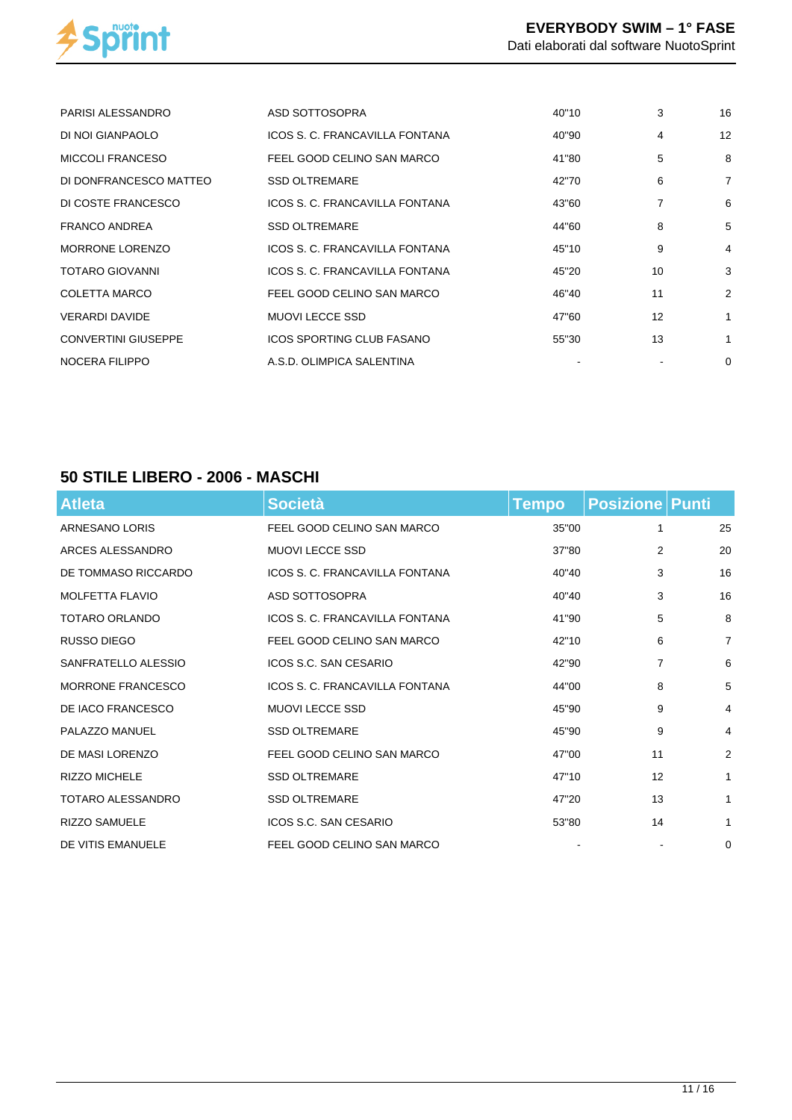

| ASD SOTTOSOPRA                   | 40"10 | 3  | 16             |
|----------------------------------|-------|----|----------------|
| ICOS S. C. FRANCAVILLA FONTANA   | 40"90 | 4  | 12             |
| FEEL GOOD CELINO SAN MARCO       | 41"80 | 5  | 8              |
| <b>SSD OLTREMARE</b>             | 42"70 | 6  | $\overline{7}$ |
| ICOS S. C. FRANCAVILLA FONTANA   | 43"60 | 7  | 6              |
| <b>SSD OLTREMARE</b>             | 44"60 | 8  | 5              |
| ICOS S. C. FRANCAVILLA FONTANA   | 45"10 | 9  | $\overline{4}$ |
| ICOS S. C. FRANCAVILLA FONTANA   | 45"20 | 10 | 3              |
| FEEL GOOD CELINO SAN MARCO       | 46"40 | 11 | 2              |
| <b>MUOVI LECCE SSD</b>           | 47"60 | 12 | 1              |
| <b>ICOS SPORTING CLUB FASANO</b> | 55"30 | 13 | 1              |
| A.S.D. OLIMPICA SALENTINA        |       |    | 0              |
|                                  |       |    |                |

### **50 STILE LIBERO - 2006 - MASCHI**

| <b>Atleta</b>            | <b>Società</b>                 | <b>Tempo</b> | <b>Posizione Punti</b> |                |
|--------------------------|--------------------------------|--------------|------------------------|----------------|
| ARNESANO LORIS           | FEEL GOOD CELINO SAN MARCO     | 35"00        | 1                      | 25             |
| ARCES ALESSANDRO         | <b>MUOVI LECCE SSD</b>         | 37"80        | 2                      | 20             |
| DE TOMMASO RICCARDO      | ICOS S. C. FRANCAVILLA FONTANA | 40"40        | 3                      | 16             |
| MOLFETTA FLAVIO          | ASD SOTTOSOPRA                 | 40"40        | 3                      | 16             |
| <b>TOTARO ORLANDO</b>    | ICOS S. C. FRANCAVILLA FONTANA | 41"90        | 5                      | 8              |
| RUSSO DIEGO              | FEEL GOOD CELINO SAN MARCO     | 42"10        | 6                      | $\overline{7}$ |
| SANFRATELLO ALESSIO      | ICOS S.C. SAN CESARIO          | 42"90        | 7                      | 6              |
| <b>MORRONE FRANCESCO</b> | ICOS S. C. FRANCAVILLA FONTANA | 44"00        | 8                      | 5              |
| DE IACO FRANCESCO        | <b>MUOVI LECCE SSD</b>         | 45"90        | 9                      | 4              |
| PALAZZO MANUEL           | <b>SSD OLTREMARE</b>           | 45"90        | 9                      | 4              |
| DE MASI LORENZO          | FEEL GOOD CELINO SAN MARCO     | 47"00        | 11                     | 2              |
| <b>RIZZO MICHELE</b>     | <b>SSD OLTREMARE</b>           | 47"10        | 12                     | $\mathbf{1}$   |
| TOTARO ALESSANDRO        | <b>SSD OLTREMARE</b>           | 47"20        | 13                     | $\mathbf{1}$   |
| <b>RIZZO SAMUELE</b>     | ICOS S.C. SAN CESARIO          | 53"80        | 14                     | $\mathbf{1}$   |
| DE VITIS EMANUELE        | FEEL GOOD CELINO SAN MARCO     |              |                        | 0              |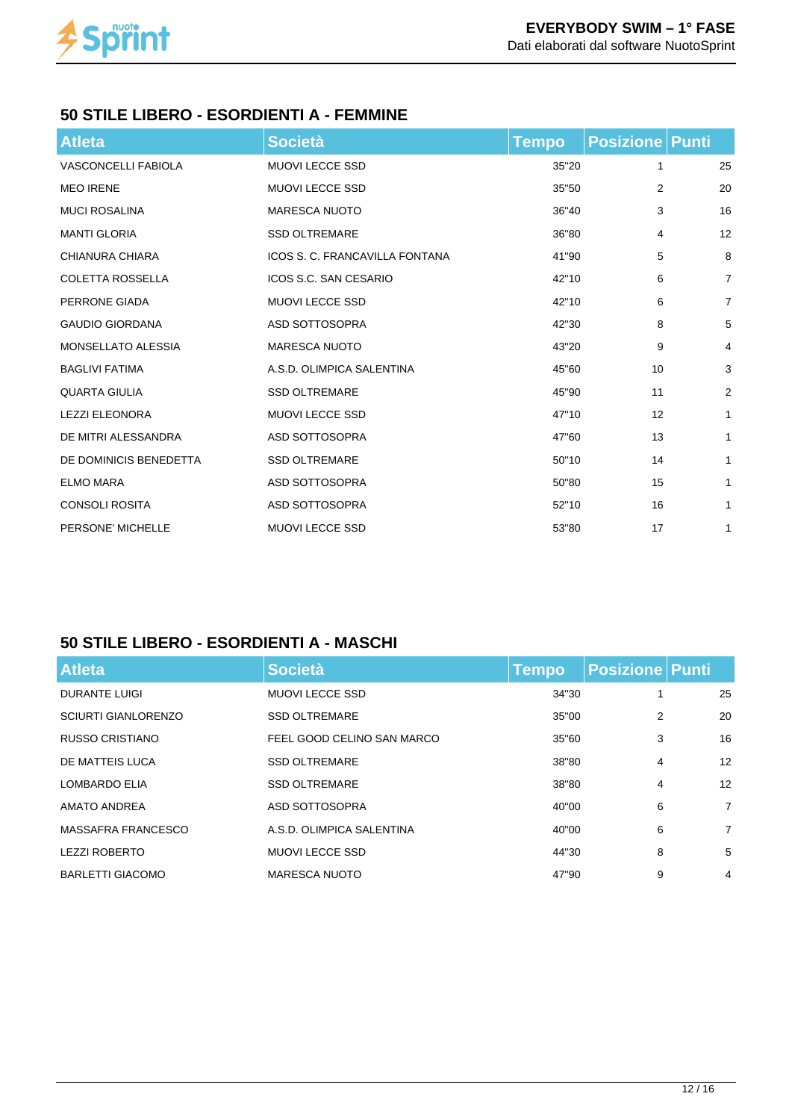

### **50 STILE LIBERO - ESORDIENTI A - FEMMINE**

| <b>Atleta</b>              | <b>Società</b>                 | <b>Tempo</b> | <b>Posizione   Punti</b> |                |
|----------------------------|--------------------------------|--------------|--------------------------|----------------|
| <b>VASCONCELLI FABIOLA</b> | <b>MUOVI LECCE SSD</b>         | 35"20        | 1                        | 25             |
| <b>MEO IRENE</b>           | <b>MUOVI LECCE SSD</b>         | 35"50        | 2                        | 20             |
| <b>MUCI ROSALINA</b>       | <b>MARESCA NUOTO</b>           | 36"40        | 3                        | 16             |
| <b>MANTI GLORIA</b>        | <b>SSD OLTREMARE</b>           | 36"80        | 4                        | 12             |
| CHIANURA CHIARA            | ICOS S. C. FRANCAVILLA FONTANA | 41"90        | 5                        | 8              |
| <b>COLETTA ROSSELLA</b>    | ICOS S.C. SAN CESARIO          | 42"10        | 6                        | $\overline{7}$ |
| PERRONE GIADA              | <b>MUOVI LECCE SSD</b>         | 42"10        | 6                        | $\overline{7}$ |
| <b>GAUDIO GIORDANA</b>     | ASD SOTTOSOPRA                 | 42"30        | 8                        | 5              |
| MONSELLATO ALESSIA         | <b>MARESCA NUOTO</b>           | 43"20        | 9                        | 4              |
| <b>BAGLIVI FATIMA</b>      | A.S.D. OLIMPICA SALENTINA      | 45"60        | 10                       | 3              |
| <b>QUARTA GIULIA</b>       | <b>SSD OLTREMARE</b>           | 45"90        | 11                       | $\overline{2}$ |
| <b>LEZZI ELEONORA</b>      | <b>MUOVI LECCE SSD</b>         | 47"10        | 12                       | $\mathbf{1}$   |
| DE MITRI ALESSANDRA        | ASD SOTTOSOPRA                 | 47"60        | 13                       | $\mathbf{1}$   |
| DE DOMINICIS BENEDETTA     | <b>SSD OLTREMARE</b>           | 50"10        | 14                       | $\mathbf{1}$   |
| <b>ELMO MARA</b>           | ASD SOTTOSOPRA                 | 50"80        | 15                       | 1              |
| <b>CONSOLI ROSITA</b>      | ASD SOTTOSOPRA                 | 52"10        | 16                       | 1              |
| PERSONE' MICHELLE          | <b>MUOVI LECCE SSD</b>         | 53"80        | 17                       | 1              |

# **50 STILE LIBERO - ESORDIENTI A - MASCHI**

| <b>Atleta</b>              | <b>Società</b>             | <b>Tempo</b> | <b>Posizione Punti</b> |                 |
|----------------------------|----------------------------|--------------|------------------------|-----------------|
| <b>DURANTE LUIGI</b>       | <b>MUOVI LECCE SSD</b>     | 34"30        |                        | 25              |
| <b>SCIURTI GIANLORENZO</b> | <b>SSD OLTREMARE</b>       | 35"00        | $\overline{2}$         | 20              |
| RUSSO CRISTIANO            | FEEL GOOD CELINO SAN MARCO | 35"60        | 3                      | 16              |
| DE MATTEIS LUCA            | <b>SSD OLTREMARE</b>       | 38"80        | $\overline{4}$         | 12 <sup>°</sup> |
| LOMBARDO ELIA              | <b>SSD OLTREMARE</b>       | 38"80        | $\overline{4}$         | 12              |
| <b>AMATO ANDREA</b>        | ASD SOTTOSOPRA             | 40"00        | 6                      | $\overline{7}$  |
| <b>MASSAFRA FRANCESCO</b>  | A.S.D. OLIMPICA SALENTINA  | 40"00        | 6                      | $\overline{7}$  |
| <b>LEZZI ROBERTO</b>       | <b>MUOVI LECCE SSD</b>     | 44"30        | 8                      | 5               |
| <b>BARLETTI GIACOMO</b>    | MARESCA NUOTO              | 47"90        | 9                      | 4               |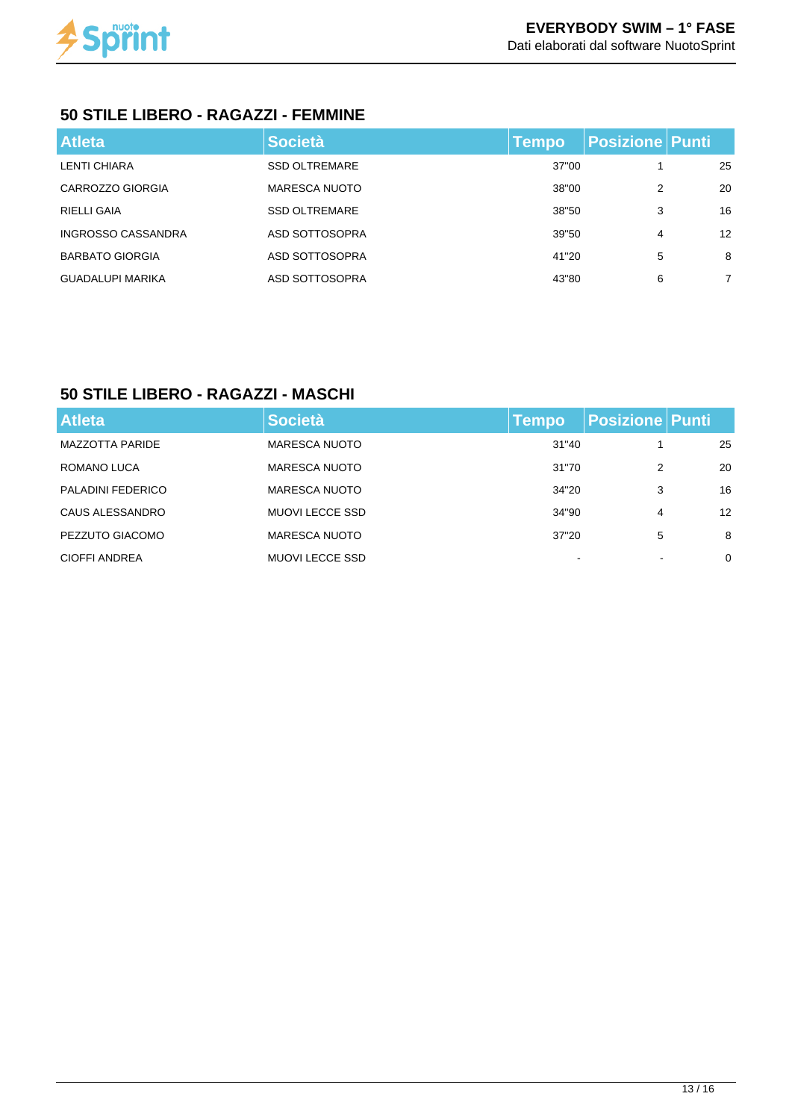

## **50 STILE LIBERO - RAGAZZI - FEMMINE**

| <b>Atleta</b>             | <b>Società</b>       | <b>Tempo</b> | <b>Posizione Punti</b> |                   |
|---------------------------|----------------------|--------------|------------------------|-------------------|
| LENTI CHIARA              | <b>SSD OLTREMARE</b> | 37"00        |                        | 25                |
| CARROZZO GIORGIA          | <b>MARESCA NUOTO</b> | 38"00        | 2                      | 20                |
| RIELLI GAIA               | <b>SSD OLTREMARE</b> | 38"50        | 3                      | 16                |
| <b>INGROSSO CASSANDRA</b> | ASD SOTTOSOPRA       | 39"50        | 4                      | $12 \overline{ }$ |
| <b>BARBATO GIORGIA</b>    | ASD SOTTOSOPRA       | 41"20        | 5                      | 8                 |
| <b>GUADALUPI MARIKA</b>   | ASD SOTTOSOPRA       | 43"80        | 6                      | $\overline{7}$    |

# **50 STILE LIBERO - RAGAZZI - MASCHI**

| <b>Atleta</b>          | <b>Società</b>         | <b>Tempo</b> | <b>Posizione Punti</b> |    |                 |
|------------------------|------------------------|--------------|------------------------|----|-----------------|
| <b>MAZZOTTA PARIDE</b> | <b>MARESCA NUOTO</b>   | 31"40        |                        | 25 |                 |
| ROMANO LUCA            | <b>MARESCA NUOTO</b>   | 31"70        | 2                      |    | 20              |
| PALADINI FEDERICO      | <b>MARESCA NUOTO</b>   | 34"20        | 3                      |    | 16              |
| CAUS ALESSANDRO        | <b>MUOVI LECCE SSD</b> | 34"90        | 4                      |    | 12 <sup>2</sup> |
| PEZZUTO GIACOMO        | <b>MARESCA NUOTO</b>   | 37"20        | 5                      |    | 8               |
| CIOFFI ANDREA          | <b>MUOVI LECCE SSD</b> | -            |                        |    | 0               |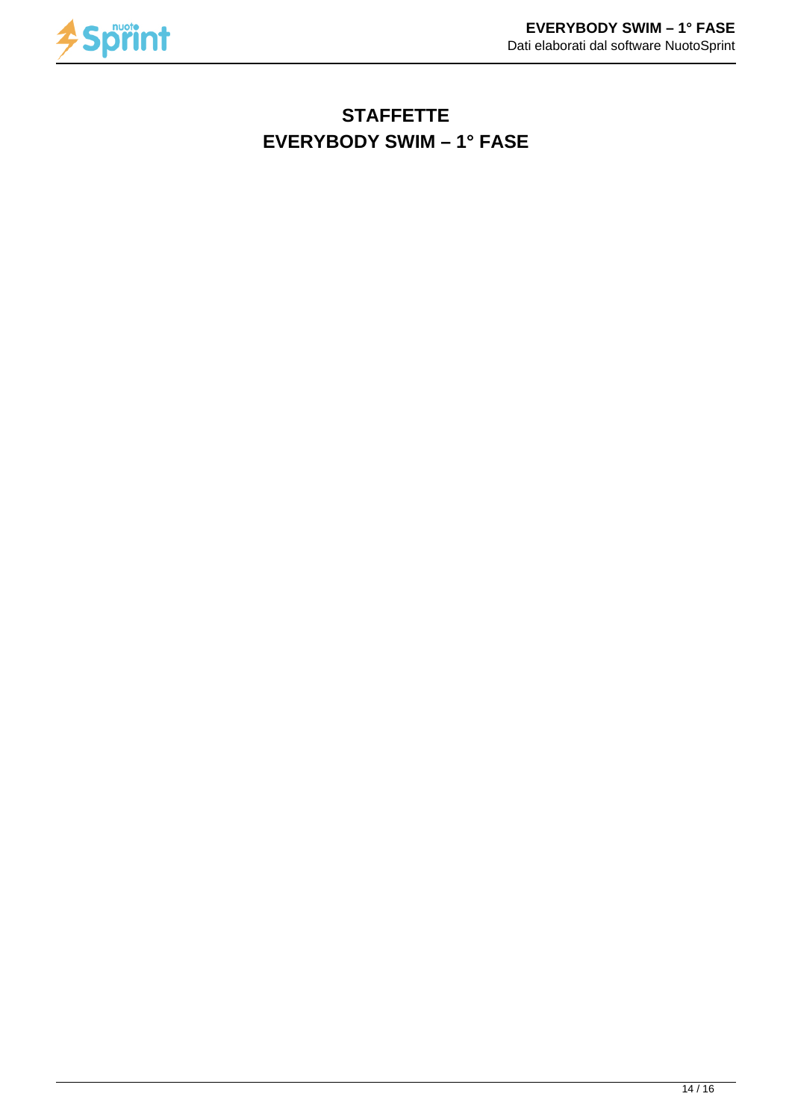

# **STAFFETTE EVERYBODY SWIM – 1° FASE**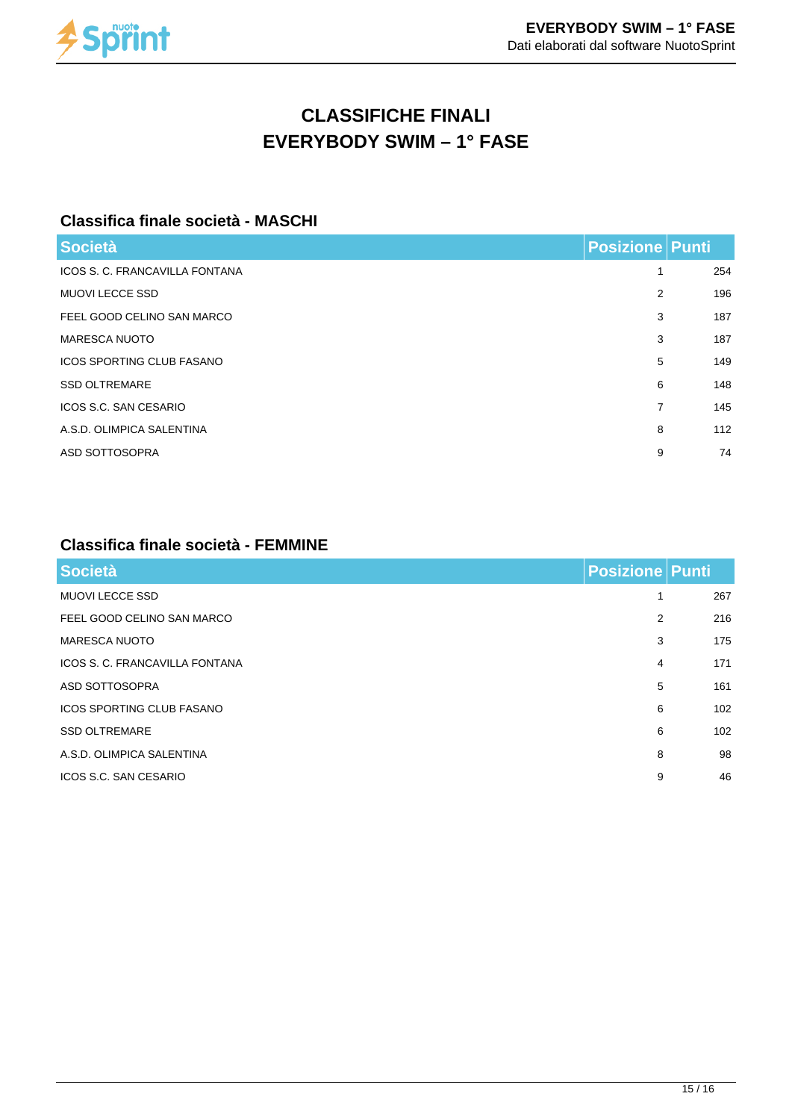

# **CLASSIFICHE FINALI EVERYBODY SWIM – 1° FASE**

## **Classifica finale società - MASCHI**

| <b>Società</b>                   | <b>Posizione Punti</b> |     |
|----------------------------------|------------------------|-----|
| ICOS S. C. FRANCAVILLA FONTANA   | 1                      | 254 |
| <b>MUOVI LECCE SSD</b>           | 2                      | 196 |
| FEEL GOOD CELINO SAN MARCO       | 3                      | 187 |
| <b>MARESCA NUOTO</b>             | 3                      | 187 |
| <b>ICOS SPORTING CLUB FASANO</b> | 5                      | 149 |
| <b>SSD OLTREMARE</b>             | 6                      | 148 |
| ICOS S.C. SAN CESARIO            | $\overline{7}$         | 145 |
| A.S.D. OLIMPICA SALENTINA        | 8                      | 112 |
| ASD SOTTOSOPRA                   | 9                      | 74  |
|                                  |                        |     |

#### **Classifica finale società - FEMMINE**

| Società                          | <b>Posizione Punti</b> |     |
|----------------------------------|------------------------|-----|
| <b>MUOVI LECCE SSD</b>           | 1                      | 267 |
| FEEL GOOD CELINO SAN MARCO       | 2                      | 216 |
| <b>MARESCA NUOTO</b>             | 3                      | 175 |
| ICOS S. C. FRANCAVILLA FONTANA   | 4                      | 171 |
| ASD SOTTOSOPRA                   | 5                      | 161 |
| <b>ICOS SPORTING CLUB FASANO</b> | 6                      | 102 |
| <b>SSD OLTREMARE</b>             | 6                      | 102 |
| A.S.D. OLIMPICA SALENTINA        | 8                      | 98  |
| ICOS S.C. SAN CESARIO            | 9                      | 46  |